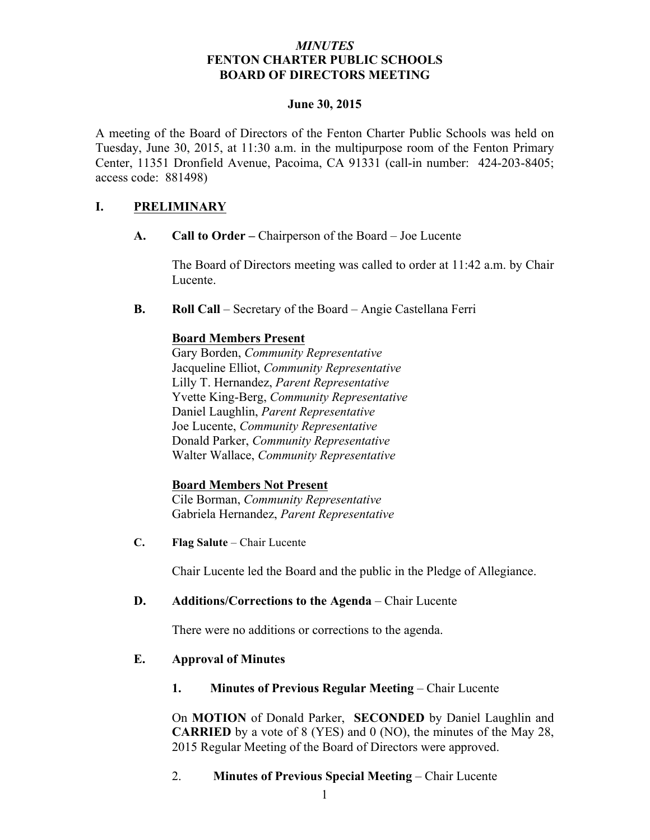## *MINUTES* **FENTON CHARTER PUBLIC SCHOOLS BOARD OF DIRECTORS MEETING**

#### **June 30, 2015**

A meeting of the Board of Directors of the Fenton Charter Public Schools was held on Tuesday, June 30, 2015, at 11:30 a.m. in the multipurpose room of the Fenton Primary Center, 11351 Dronfield Avenue, Pacoima, CA 91331 (call-in number: 424-203-8405; access code: 881498)

## **I. PRELIMINARY**

**A. Call to Order –** Chairperson of the Board – Joe Lucente

The Board of Directors meeting was called to order at 11:42 a.m. by Chair Lucente.

**B. Roll Call** – Secretary of the Board – Angie Castellana Ferri

## **Board Members Present**

Gary Borden, *Community Representative* Jacqueline Elliot, *Community Representative* Lilly T. Hernandez, *Parent Representative* Yvette King-Berg, *Community Representative* Daniel Laughlin, *Parent Representative* Joe Lucente, *Community Representative* Donald Parker, *Community Representative* Walter Wallace, *Community Representative*

#### **Board Members Not Present**

Cile Borman, *Community Representative* Gabriela Hernandez, *Parent Representative*

**C. Flag Salute** – Chair Lucente

Chair Lucente led the Board and the public in the Pledge of Allegiance.

## **D. Additions/Corrections to the Agenda** – Chair Lucente

There were no additions or corrections to the agenda.

## **E. Approval of Minutes**

**1. Minutes of Previous Regular Meeting – Chair Lucente** 

On **MOTION** of Donald Parker, **SECONDED** by Daniel Laughlin and **CARRIED** by a vote of 8 (YES) and 0 (NO), the minutes of the May 28, 2015 Regular Meeting of the Board of Directors were approved.

## 2. **Minutes of Previous Special Meeting** – Chair Lucente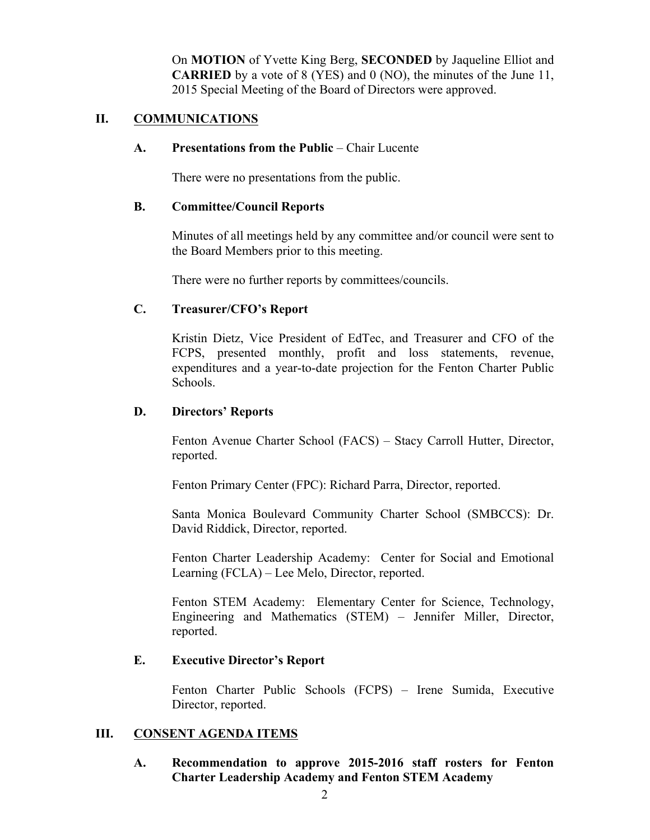On **MOTION** of Yvette King Berg, **SECONDED** by Jaqueline Elliot and **CARRIED** by a vote of 8 (YES) and 0 (NO), the minutes of the June 11, 2015 Special Meeting of the Board of Directors were approved.

## **II. COMMUNICATIONS**

#### **A. Presentations from the Public** – Chair Lucente

There were no presentations from the public.

#### **B. Committee/Council Reports**

Minutes of all meetings held by any committee and/or council were sent to the Board Members prior to this meeting.

There were no further reports by committees/councils.

#### **C. Treasurer/CFO's Report**

Kristin Dietz, Vice President of EdTec, and Treasurer and CFO of the FCPS, presented monthly, profit and loss statements, revenue, expenditures and a year-to-date projection for the Fenton Charter Public Schools.

#### **D. Directors' Reports**

Fenton Avenue Charter School (FACS) – Stacy Carroll Hutter, Director, reported.

Fenton Primary Center (FPC): Richard Parra, Director, reported.

Santa Monica Boulevard Community Charter School (SMBCCS): Dr. David Riddick, Director, reported.

Fenton Charter Leadership Academy: Center for Social and Emotional Learning (FCLA) – Lee Melo, Director, reported.

Fenton STEM Academy: Elementary Center for Science, Technology, Engineering and Mathematics (STEM) – Jennifer Miller, Director, reported.

#### **E. Executive Director's Report**

Fenton Charter Public Schools (FCPS) – Irene Sumida, Executive Director, reported.

#### **III. CONSENT AGENDA ITEMS**

## **A. Recommendation to approve 2015-2016 staff rosters for Fenton Charter Leadership Academy and Fenton STEM Academy**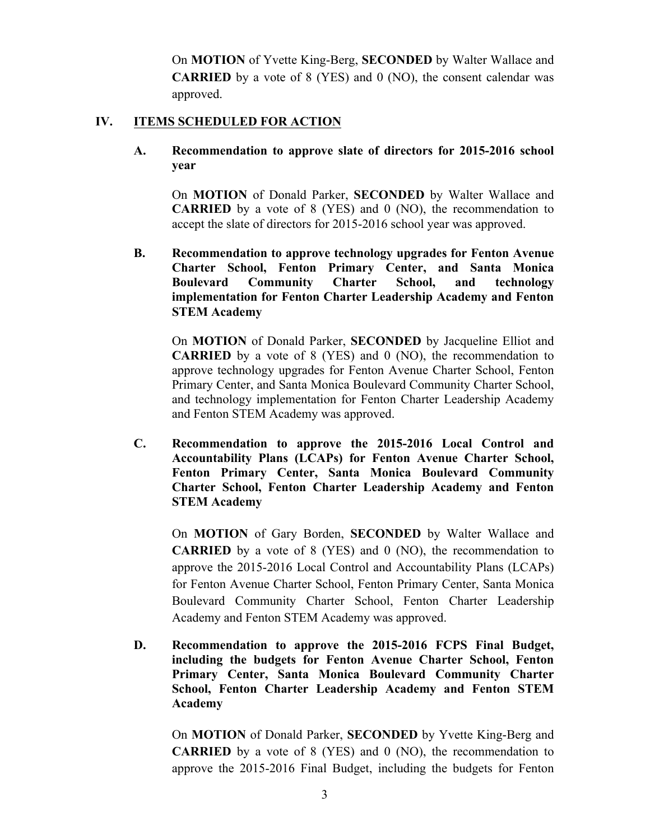On **MOTION** of Yvette King-Berg, **SECONDED** by Walter Wallace and **CARRIED** by a vote of 8 (YES) and 0 (NO), the consent calendar was approved.

## **IV. ITEMS SCHEDULED FOR ACTION**

**A. Recommendation to approve slate of directors for 2015-2016 school year**

On **MOTION** of Donald Parker, **SECONDED** by Walter Wallace and **CARRIED** by a vote of 8 (YES) and 0 (NO), the recommendation to accept the slate of directors for 2015-2016 school year was approved.

**B. Recommendation to approve technology upgrades for Fenton Avenue Charter School, Fenton Primary Center, and Santa Monica Boulevard Community Charter School, and technology implementation for Fenton Charter Leadership Academy and Fenton STEM Academy**

On **MOTION** of Donald Parker, **SECONDED** by Jacqueline Elliot and **CARRIED** by a vote of 8 (YES) and 0 (NO), the recommendation to approve technology upgrades for Fenton Avenue Charter School, Fenton Primary Center, and Santa Monica Boulevard Community Charter School, and technology implementation for Fenton Charter Leadership Academy and Fenton STEM Academy was approved.

**C. Recommendation to approve the 2015-2016 Local Control and Accountability Plans (LCAPs) for Fenton Avenue Charter School, Fenton Primary Center, Santa Monica Boulevard Community Charter School, Fenton Charter Leadership Academy and Fenton STEM Academy**

On **MOTION** of Gary Borden, **SECONDED** by Walter Wallace and **CARRIED** by a vote of 8 (YES) and 0 (NO), the recommendation to approve the 2015-2016 Local Control and Accountability Plans (LCAPs) for Fenton Avenue Charter School, Fenton Primary Center, Santa Monica Boulevard Community Charter School, Fenton Charter Leadership Academy and Fenton STEM Academy was approved.

**D. Recommendation to approve the 2015-2016 FCPS Final Budget, including the budgets for Fenton Avenue Charter School, Fenton Primary Center, Santa Monica Boulevard Community Charter School, Fenton Charter Leadership Academy and Fenton STEM Academy**

On **MOTION** of Donald Parker, **SECONDED** by Yvette King-Berg and **CARRIED** by a vote of 8 (YES) and 0 (NO), the recommendation to approve the 2015-2016 Final Budget, including the budgets for Fenton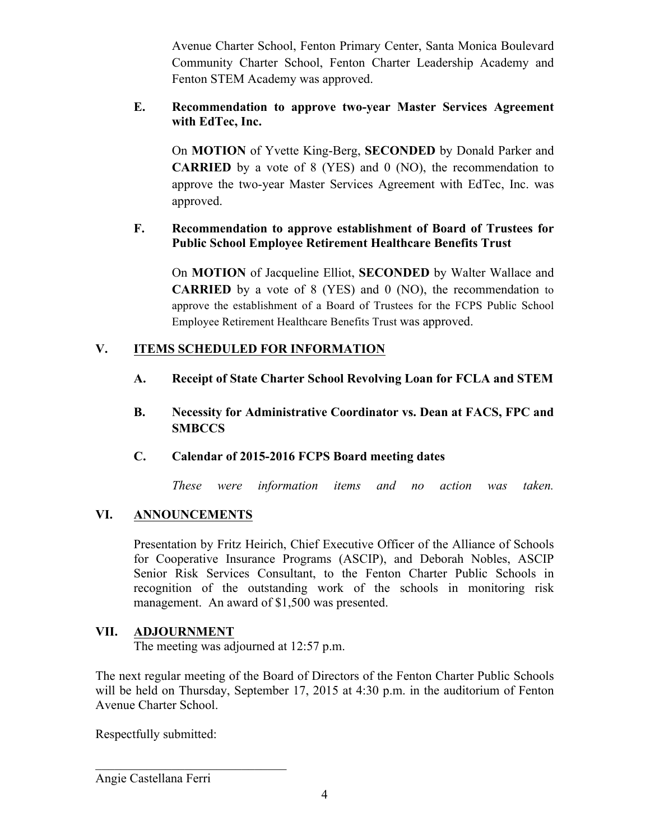Avenue Charter School, Fenton Primary Center, Santa Monica Boulevard Community Charter School, Fenton Charter Leadership Academy and Fenton STEM Academy was approved.

## **E. Recommendation to approve two-year Master Services Agreement with EdTec, Inc.**

On **MOTION** of Yvette King-Berg, **SECONDED** by Donald Parker and **CARRIED** by a vote of 8 (YES) and 0 (NO), the recommendation to approve the two-year Master Services Agreement with EdTec, Inc. was approved.

## **F. Recommendation to approve establishment of Board of Trustees for Public School Employee Retirement Healthcare Benefits Trust**

On **MOTION** of Jacqueline Elliot, **SECONDED** by Walter Wallace and **CARRIED** by a vote of 8 (YES) and 0 (NO), the recommendation to approve the establishment of a Board of Trustees for the FCPS Public School Employee Retirement Healthcare Benefits Trust was approved.

## **V. ITEMS SCHEDULED FOR INFORMATION**

- **A. Receipt of State Charter School Revolving Loan for FCLA and STEM**
- **B. Necessity for Administrative Coordinator vs. Dean at FACS, FPC and SMBCCS**

## **C. Calendar of 2015-2016 FCPS Board meeting dates**

*These were information items and no action was taken.*

# **VI. ANNOUNCEMENTS**

Presentation by Fritz Heirich, Chief Executive Officer of the Alliance of Schools for Cooperative Insurance Programs (ASCIP), and Deborah Nobles, ASCIP Senior Risk Services Consultant, to the Fenton Charter Public Schools in recognition of the outstanding work of the schools in monitoring risk management. An award of \$1,500 was presented.

## **VII. ADJOURNMENT**

The meeting was adjourned at 12:57 p.m.

The next regular meeting of the Board of Directors of the Fenton Charter Public Schools will be held on Thursday, September 17, 2015 at 4:30 p.m. in the auditorium of Fenton Avenue Charter School.

Respectfully submitted:

 $\mathcal{L}_\text{max}$  , where  $\mathcal{L}_\text{max}$  and  $\mathcal{L}_\text{max}$  and  $\mathcal{L}_\text{max}$ 

Angie Castellana Ferri